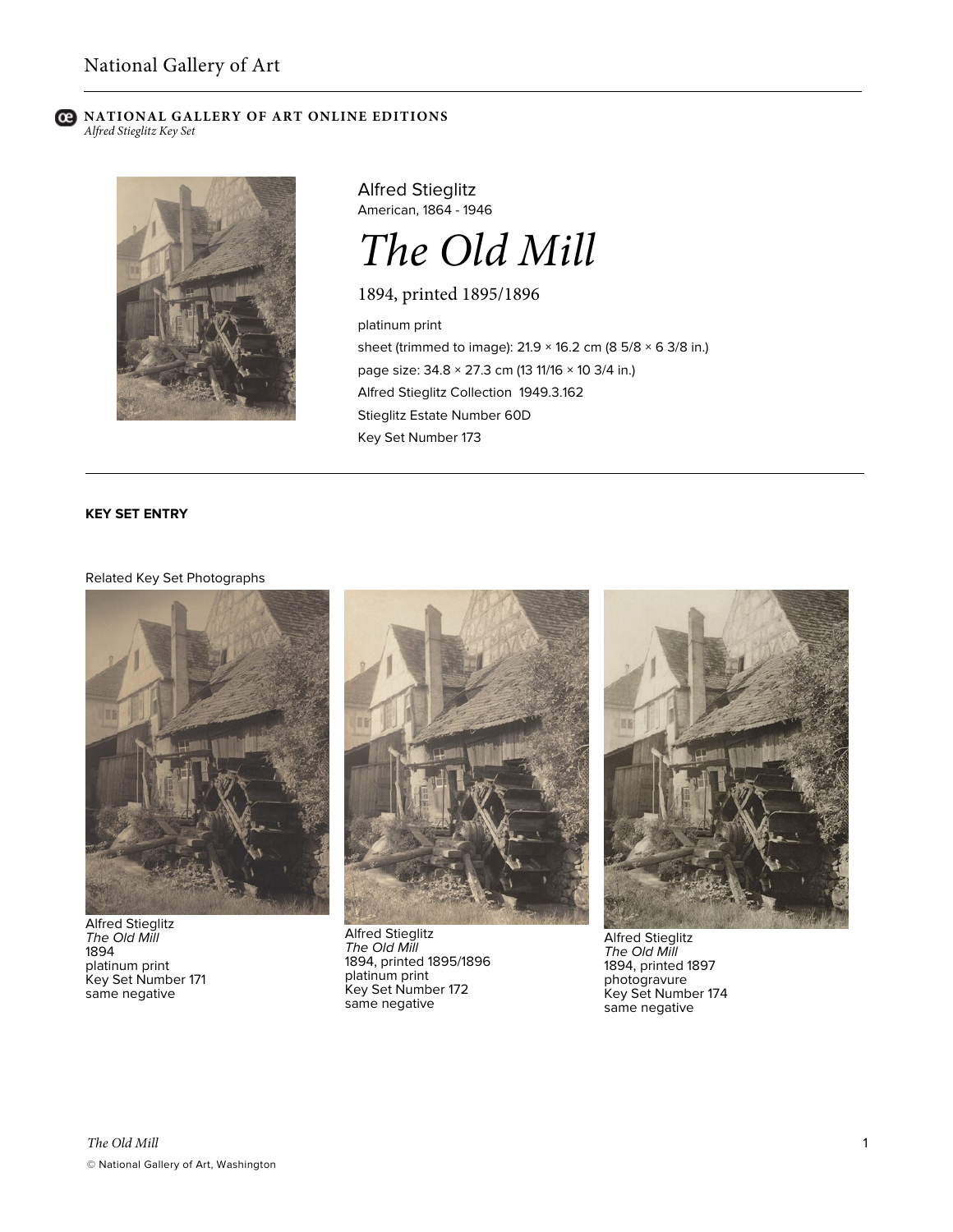#### **C** NATIONAL GALLERY OF ART ONLINE EDITIONS *Alfred Stieglitz Key Set*



Alfred Stieglitz American, 1864 - 1946



1894, printed 1895/1896

platinum print sheet (trimmed to image): 21.9 × 16.2 cm (8 5/8 × 6 3/8 in.) page size: 34.8 × 27.3 cm (13 11/16 × 10 3/4 in.) Alfred Stieglitz Collection 1949.3.162 Stieglitz Estate Number 60D Key Set Number 173

# **KEY SET ENTRY**

## Related Key Set Photographs



Alfred Stieglitz *The Old Mill* 1894 platinum print Key Set Number 171 same negative



Alfred Stieglitz *The Old Mill* 1894, printed 1895/1896 platinum print Key Set Number 172 same negative



Alfred Stieglitz *The Old Mill* 1894, printed 1897 photogravure Key Set Number 174 same negative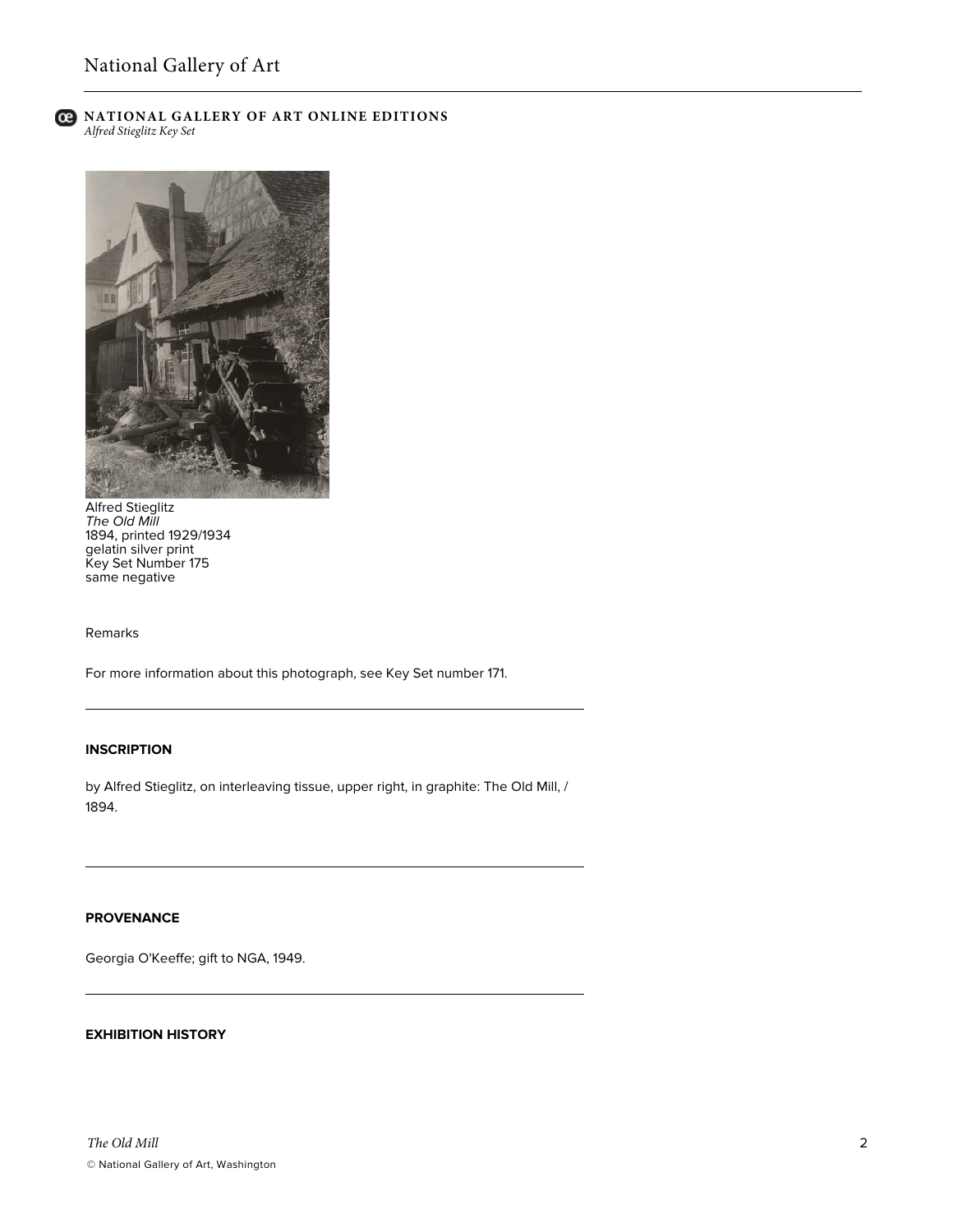

## **C** NATIONAL GALLERY OF ART ONLINE EDITIONS *Alfred Stieglitz Key Set*



Alfred Stieglitz *The Old Mill* 1894, printed 1929/1934 gelatin silver print Key Set Number 175 same negative

Remarks

For more information about this photograph, see Key Set number 171.

### **INSCRIPTION**

by Alfred Stieglitz, on interleaving tissue, upper right, in graphite: The Old Mill, / 1894.

# **PROVENANCE**

Georgia O'Keeffe; gift to NGA, 1949.

## **EXHIBITION HISTORY**